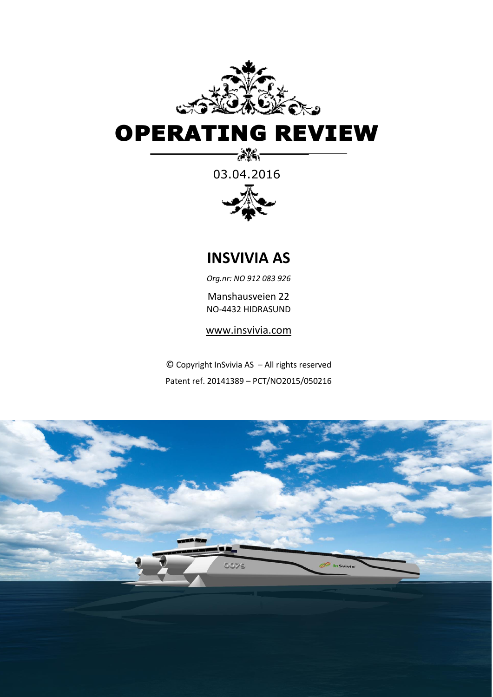

# OPERATING REVIEW

03.04.2016

-86-



**INSVIVIA AS**

*Org.nr: NO 912 083 926*

Manshausveien 22 NO-4432 HIDRASUND

[www.insvivia.com](http://www.insvivia.com/)

© Copyright InSvivia AS – All rights reserved Patent ref. 20141389 – PCT/NO2015/050216

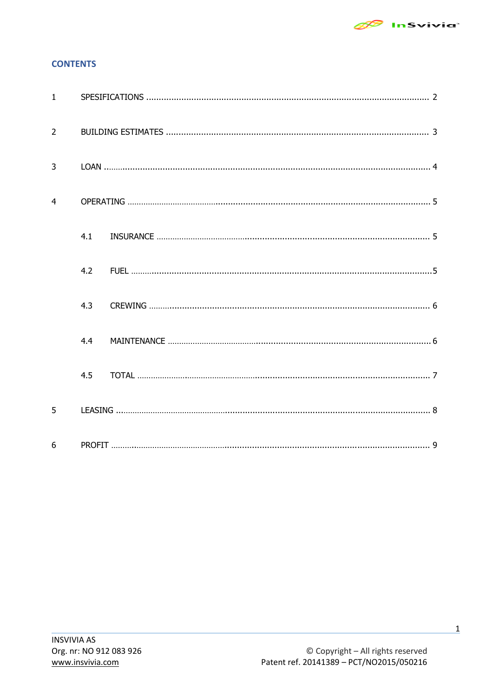

# **CONTENTS**

| $\mathbf{1}$   |     |  |
|----------------|-----|--|
| $\overline{2}$ |     |  |
| $\overline{3}$ |     |  |
| $\overline{4}$ |     |  |
|                | 4.1 |  |
|                | 4.2 |  |
|                | 4.3 |  |
|                | 4.4 |  |
|                | 4.5 |  |
| 5              |     |  |
| 6              |     |  |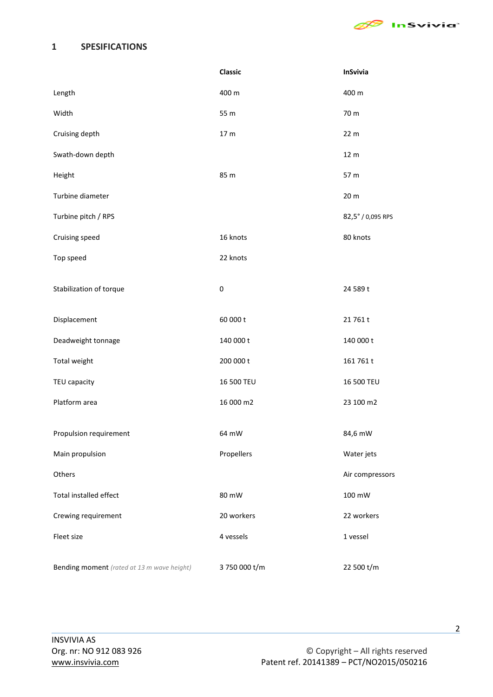

## <span id="page-2-0"></span>**1 SPESIFICATIONS**

|                                            | Classic         | InSvivia          |
|--------------------------------------------|-----------------|-------------------|
| Length                                     | 400 m           | 400 m             |
| Width                                      | 55 m            | 70 m              |
| Cruising depth                             | 17 <sub>m</sub> | 22 m              |
| Swath-down depth                           |                 | 12 m              |
| Height                                     | 85 m            | 57 m              |
| Turbine diameter                           |                 | 20 m              |
| Turbine pitch / RPS                        |                 | 82,5° / 0,095 RPS |
| Cruising speed                             | 16 knots        | 80 knots          |
| Top speed                                  | 22 knots        |                   |
| Stabilization of torque                    | $\pmb{0}$       | 24 589 t          |
| Displacement                               | 60 000 t        | 21761t            |
| Deadweight tonnage                         | 140 000 t       | 140 000 t         |
| Total weight                               | 200 000 t       | 161 761 t         |
| TEU capacity                               | 16 500 TEU      | 16 500 TEU        |
| Platform area                              | 16 000 m2       | 23 100 m2         |
| Propulsion requirement                     | 64 mW           | 84,6 mW           |
| Main propulsion                            | Propellers      | Water jets        |
| Others                                     |                 | Air compressors   |
| Total installed effect                     | 80 mW           | 100 mW            |
| Crewing requirement                        | 20 workers      | 22 workers        |
| Fleet size                                 | 4 vessels       | 1 vessel          |
| Bending moment (rated at 13 m wave height) | 3 750 000 t/m   | 22 500 t/m        |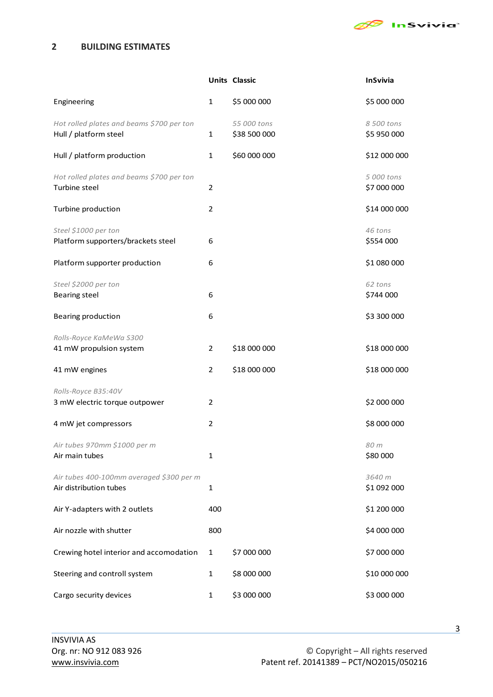

# <span id="page-3-0"></span>**2 BUILDING ESTIMATES**

|                                                                    |                | <b>Units Classic</b>        | <b>InSvivia</b>           |
|--------------------------------------------------------------------|----------------|-----------------------------|---------------------------|
| Engineering                                                        | $\mathbf{1}$   | \$5 000 000                 | \$5 000 000               |
| Hot rolled plates and beams \$700 per ton<br>Hull / platform steel | $\mathbf{1}$   | 55 000 tons<br>\$38 500 000 | 8 500 tons<br>\$5 950 000 |
| Hull / platform production                                         | 1              | \$60 000 000                | \$12 000 000              |
| Hot rolled plates and beams \$700 per ton<br>Turbine steel         | 2              |                             | 5 000 tons<br>\$7 000 000 |
| Turbine production                                                 | 2              |                             | \$14 000 000              |
| Steel \$1000 per ton<br>Platform supporters/brackets steel         | 6              |                             | 46 tons<br>\$554 000      |
| Platform supporter production                                      | 6              |                             | \$1 080 000               |
| Steel \$2000 per ton<br><b>Bearing steel</b>                       | 6              |                             | 62 tons<br>\$744 000      |
| Bearing production                                                 | 6              |                             | \$3 300 000               |
| Rolls-Royce KaMeWa S300<br>41 mW propulsion system                 | $\overline{2}$ | \$18 000 000                | \$18 000 000              |
| 41 mW engines                                                      | $\overline{2}$ | \$18 000 000                | \$18 000 000              |
| Rolls-Royce B35:40V<br>3 mW electric torque outpower               | 2              |                             | \$2 000 000               |
| 4 mW jet compressors                                               | $\overline{2}$ |                             | \$8 000 000               |
| Air tubes 970mm \$1000 per m<br>Air main tubes                     | $\mathbf{1}$   |                             | 80 m<br>\$80 000          |
| Air tubes 400-100mm averaged \$300 per m<br>Air distribution tubes | $\mathbf{1}$   |                             | 3640 m<br>\$1 092 000     |
| Air Y-adapters with 2 outlets                                      | 400            |                             | \$1 200 000               |
| Air nozzle with shutter                                            | 800            |                             | \$4 000 000               |
| Crewing hotel interior and accomodation                            | $\mathbf{1}$   | \$7 000 000                 | \$7 000 000               |
| Steering and controll system                                       | 1              | \$8 000 000                 | \$10 000 000              |
| Cargo security devices                                             | $\mathbf{1}$   | \$3 000 000                 | \$3 000 000               |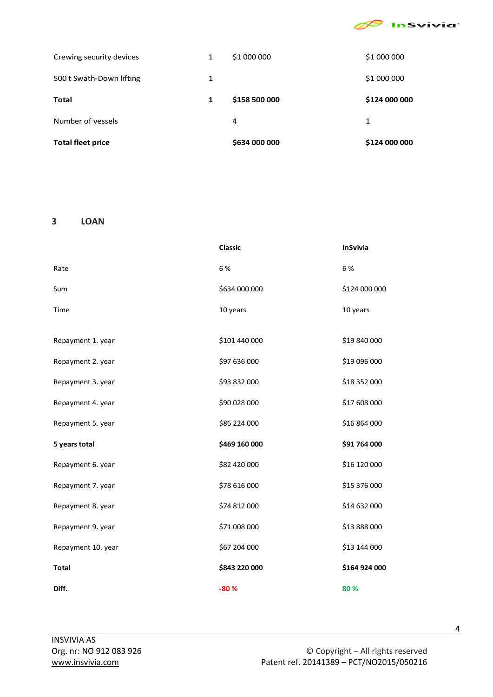

| <b>Total fleet price</b> |   | \$634 000 000 | \$124 000 000 |
|--------------------------|---|---------------|---------------|
| Number of vessels        |   | 4             | 1             |
| <b>Total</b>             | 1 | \$158 500 000 | \$124 000 000 |
| 500 t Swath-Down lifting | 1 |               | \$1 000 000   |
| Crewing security devices | 1 | \$1 000 000   | \$1 000 000   |

#### <span id="page-4-0"></span>**3 LOAN**

|                    | <b>Classic</b> | <b>InSvivia</b> |
|--------------------|----------------|-----------------|
| Rate               | 6 %            | 6 %             |
| Sum                | \$634 000 000  | \$124 000 000   |
| Time               | 10 years       | 10 years        |
|                    |                |                 |
| Repayment 1. year  | \$101 440 000  | \$19 840 000    |
| Repayment 2. year  | \$97 636 000   | \$19 096 000    |
| Repayment 3. year  | \$93 832 000   | \$18 352 000    |
| Repayment 4. year  | \$90 028 000   | \$17 608 000    |
| Repayment 5. year  | \$86 224 000   | \$16 864 000    |
| 5 years total      | \$469 160 000  | \$91 764 000    |
| Repayment 6. year  | \$82 420 000   | \$16 120 000    |
| Repayment 7. year  | \$78 616 000   | \$15 376 000    |
| Repayment 8. year  | \$74 812 000   | \$14 632 000    |
| Repayment 9. year  | \$71 008 000   | \$13 888 000    |
| Repayment 10. year | \$67 204 000   | \$13 144 000    |
| <b>Total</b>       | \$843 220 000  | \$164 924 000   |
| Diff.              | $-80%$         | 80%             |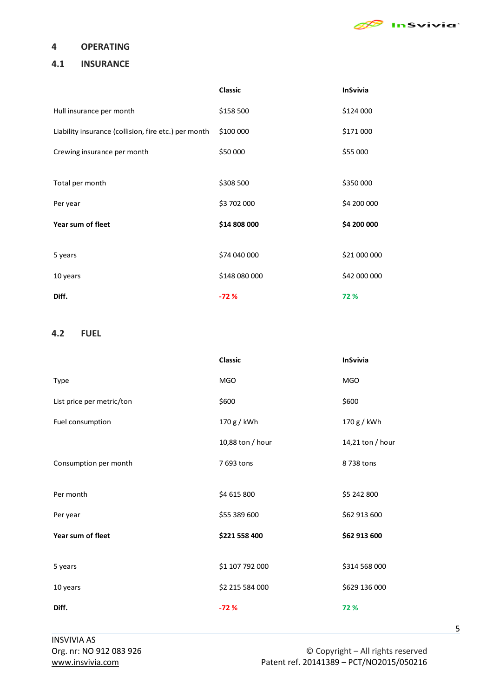

#### <span id="page-5-0"></span>**4 OPERATING**

#### **4.1 INSURANCE**

|                                                      | <b>Classic</b> | <b>InSvivia</b> |
|------------------------------------------------------|----------------|-----------------|
| Hull insurance per month                             | \$158 500      | \$124 000       |
| Liability insurance (collision, fire etc.) per month | \$100 000      | \$171 000       |
| Crewing insurance per month                          | \$50 000       | \$55 000        |
|                                                      |                |                 |
| Total per month                                      | \$308 500      | \$350 000       |
| Per year                                             | \$3 702 000    | \$4 200 000     |
| Year sum of fleet                                    | \$14 808 000   | \$4 200 000     |
|                                                      |                |                 |
| 5 years                                              | \$74 040 000   | \$21 000 000    |
| 10 years                                             | \$148 080 000  | \$42 000 000    |
| Diff.                                                | $-72%$         | 72 %            |

## <span id="page-5-1"></span>**4.2 FUEL**

|                           | <b>Classic</b>   | <b>InSvivia</b>  |
|---------------------------|------------------|------------------|
| Type                      | <b>MGO</b>       | <b>MGO</b>       |
| List price per metric/ton | \$600            | \$600            |
| Fuel consumption          | 170 g / kWh      | 170 g / kWh      |
|                           | 10,88 ton / hour | 14,21 ton / hour |
| Consumption per month     | 7 693 tons       | 8738 tons        |
|                           |                  |                  |
| Per month                 | \$4 615 800      | \$5 242 800      |
| Per year                  | \$55 389 600     | \$62 913 600     |
| Year sum of fleet         | \$221 558 400    | \$62 913 600     |
|                           |                  |                  |
| 5 years                   | \$1 107 792 000  | \$314 568 000    |
| 10 years                  | \$2 215 584 000  | \$629 136 000    |
| Diff.                     | $-72%$           | 72%              |

5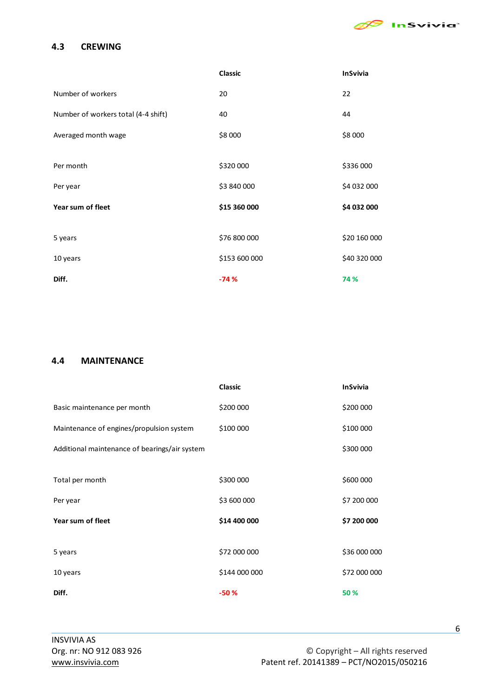

## <span id="page-6-0"></span>**4.3 CREWING**

|                                     | <b>Classic</b> | <b>InSvivia</b> |
|-------------------------------------|----------------|-----------------|
| Number of workers                   | 20             | 22              |
| Number of workers total (4-4 shift) | 40             | 44              |
| Averaged month wage                 | \$8 000        | \$8 000         |
|                                     |                |                 |
| Per month                           | \$320 000      | \$336 000       |
| Per year                            | \$3 840 000    | \$4 032 000     |
| Year sum of fleet                   | \$15 360 000   | \$4 032 000     |
|                                     |                |                 |
| 5 years                             | \$76 800 000   | \$20 160 000    |
| 10 years                            | \$153 600 000  | \$40 320 000    |
| Diff.                               | $-74%$         | 74 %            |

#### <span id="page-6-1"></span>**4.4 MAINTENANCE**

|                                               | <b>Classic</b> | <b>InSvivia</b> |
|-----------------------------------------------|----------------|-----------------|
| Basic maintenance per month                   | \$200 000      | \$200 000       |
| Maintenance of engines/propulsion system      | \$100 000      | \$100 000       |
| Additional maintenance of bearings/air system |                | \$300 000       |
|                                               |                |                 |
| Total per month                               | \$300 000      | \$600 000       |
| Per year                                      | \$3 600 000    | \$7 200 000     |
| Year sum of fleet                             | \$14 400 000   | \$7 200 000     |
|                                               |                |                 |
| 5 years                                       | \$72 000 000   | \$36 000 000    |
| 10 years                                      | \$144 000 000  | \$72 000 000    |
| Diff.                                         | $-50%$         | 50 %            |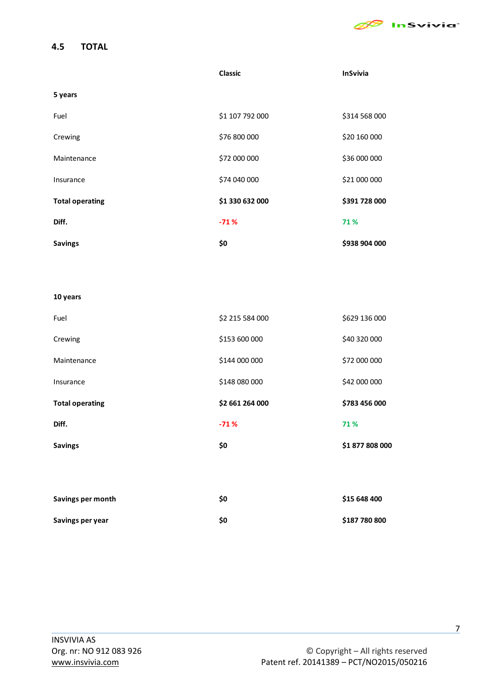

# <span id="page-7-0"></span>**4.5 TOTAL**

|                        | <b>Classic</b>  | <b>InSvivia</b> |
|------------------------|-----------------|-----------------|
| 5 years                |                 |                 |
| Fuel                   | \$1 107 792 000 | \$314 568 000   |
| Crewing                | \$76 800 000    | \$20 160 000    |
| Maintenance            | \$72 000 000    | \$36 000 000    |
| Insurance              | \$74 040 000    | \$21 000 000    |
| <b>Total operating</b> | \$1 330 632 000 | \$391 728 000   |
| Diff.                  | $-71%$          | 71%             |
| <b>Savings</b>         | \$0             | \$938 904 000   |
|                        |                 |                 |
|                        |                 |                 |
| 10 years               |                 |                 |
| Fuel                   | \$2 215 584 000 | \$629 136 000   |

| ruei                   | <b>POG FOC CTZ 75</b> | <b>DOO OCT EZOC</b> |
|------------------------|-----------------------|---------------------|
| Crewing                | \$153 600 000         | \$40 320 000        |
| Maintenance            | \$144 000 000         | \$72 000 000        |
| Insurance              | \$148 080 000         | \$42 000 000        |
| <b>Total operating</b> | \$2 661 264 000       | \$783 456 000       |
| Diff.                  | $-71%$                | 71%                 |
| <b>Savings</b>         | \$0                   | \$1 877 808 000     |
|                        |                       |                     |
|                        |                       |                     |
| Savings per month      | \$0                   | \$15 648 400        |
| Savings per year       | \$0                   | \$187 780 800       |

7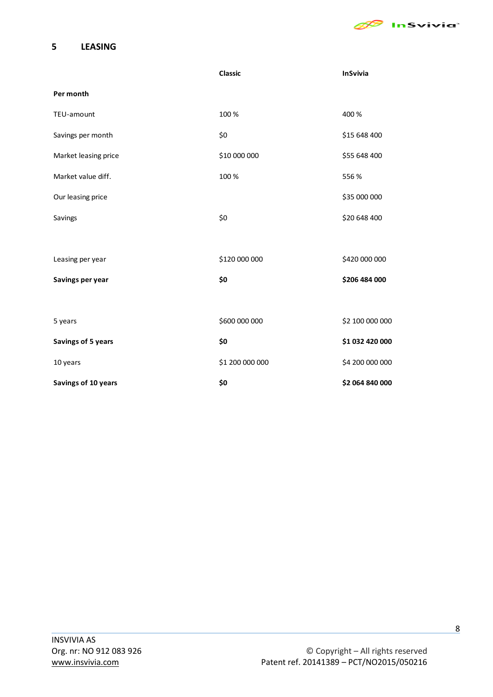

## <span id="page-8-0"></span>**5 LEASING**

|                      | <b>Classic</b>  | <b>InSvivia</b> |
|----------------------|-----------------|-----------------|
| Per month            |                 |                 |
| TEU-amount           | 100 %           | 400 %           |
| Savings per month    | \$0             | \$15 648 400    |
| Market leasing price | \$10 000 000    | \$55 648 400    |
| Market value diff.   | 100 %           | 556 %           |
| Our leasing price    |                 | \$35 000 000    |
| Savings              | \$0             | \$20 648 400    |
|                      |                 |                 |
| Leasing per year     | \$120 000 000   | \$420 000 000   |
| Savings per year     | \$0             | \$206 484 000   |
|                      |                 |                 |
| 5 years              | \$600 000 000   | \$2 100 000 000 |
| Savings of 5 years   | \$0             | \$1 032 420 000 |
| 10 years             | \$1 200 000 000 | \$4 200 000 000 |
| Savings of 10 years  | \$0             | \$2 064 840 000 |